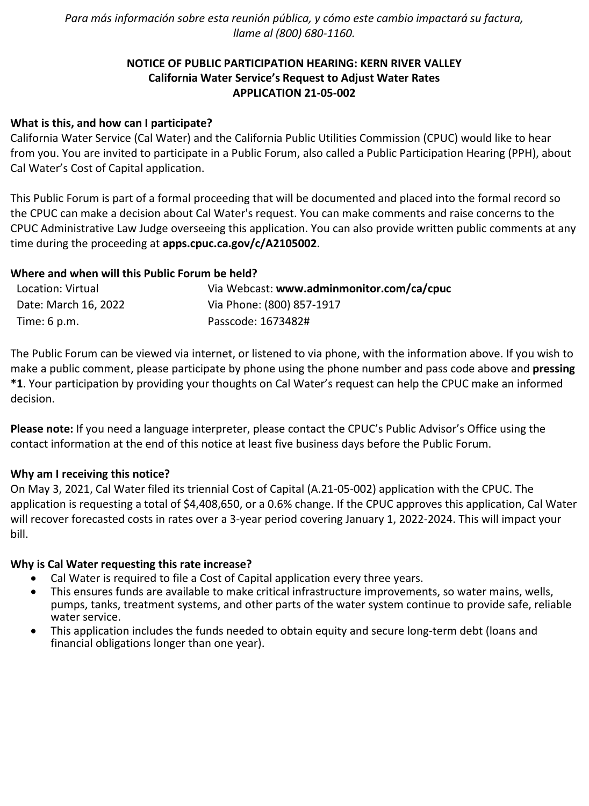*Para más información sobre esta reunión pública, y cómo este cambio impactará su factura, llame al (800) 680-1160.*

# **NOTICE OF PUBLIC PARTICIPATION HEARING: KERN RIVER VALLEY California Water Service's Request to Adjust Water Rates APPLICATION 21-05-002**

# **What is this, and how can I participate?**

California Water Service (Cal Water) and the California Public Utilities Commission (CPUC) would like to hear from you. You are invited to participate in a Public Forum, also called a Public Participation Hearing (PPH), about Cal Water's Cost of Capital application.

This Public Forum is part of a formal proceeding that will be documented and placed into the formal record so the CPUC can make a decision about Cal Water's request. You can make comments and raise concerns to the CPUC Administrative Law Judge overseeing this application. You can also provide written public comments at any time during the proceeding at **[apps.cpuc.ca.gov/c/A2105002](https://apps.cpuc.ca.gov/apex/f?p=401:65:0::NO:RP,57,RIR:P5_PROCEEDING_SELECT:A2105002)**.

## **Where and when will this Public Forum be held?**

| Location: Virtual      | Via Webcast: www.adminmonitor.com/ca/cpuc |
|------------------------|-------------------------------------------|
| Date: March 16, 2022   | Via Phone: (800) 857-1917                 |
| Time: $6 \text{ p.m.}$ | Passcode: 1673482#                        |

The Public Forum can be viewed via internet, or listened to via phone, with the information above. If you wish to make a public comment, please participate by phone using the phone number and pass code above and **pressing \*1**. Your participation by providing your thoughts on Cal Water's request can help the CPUC make an informed decision.

**Please note:** If you need a language interpreter, please contact the CPUC's Public Advisor's Office using the contact information at the end of this notice at least five business days before the Public Forum.

#### **Why am I receiving this notice?**

On May 3, 2021, Cal Water filed its triennial Cost of Capital (A.21-05-002) application with the CPUC. The application is requesting a total of \$4,408,650, or a 0.6% change. If the CPUC approves this application, Cal Water will recover forecasted costs in rates over a 3-year period covering January 1, 2022-2024. This will impact your bill.

#### **Why is Cal Water requesting this rate increase?**

- Cal Water is required to file a Cost of Capital application every three years.
- This ensures funds are available to make critical infrastructure improvements, so water mains, wells, pumps, tanks, treatment systems, and other parts of the water system continue to provide safe, reliable water service.
- This application includes the funds needed to obtain equity and secure long-term debt (loans and financial obligations longer than one year).